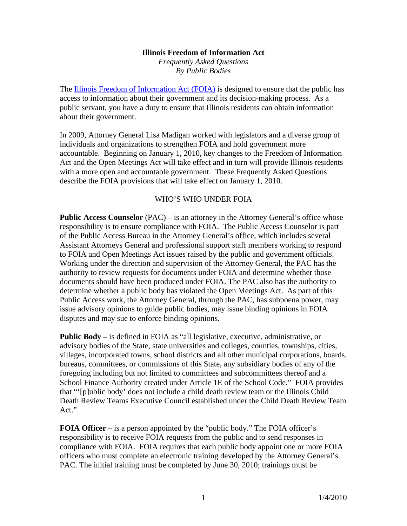#### **Illinois Freedom of Information Act**

*Frequently Asked Questions By Public Bodies* 

The Illinois Freedom of Information Act (FOIA) is designed to ensure that the public has access to information about their government and its decision-making process. As a public servant, you have a duty to ensure that Illinois residents can obtain information about their government.

In 2009, Attorney General Lisa Madigan worked with legislators and a diverse group of individuals and organizations to strengthen FOIA and hold government more accountable. Beginning on January 1, 2010, key changes to the Freedom of Information Act and the Open Meetings Act will take effect and in turn will provide Illinois residents with a more open and accountable government. These Frequently Asked Questions describe the FOIA provisions that will take effect on January 1, 2010.

# WHO'S WHO UNDER FOIA

**Public Access Counselor** (PAC) – is an attorney in the Attorney General's office whose responsibility is to ensure compliance with FOIA. The Public Access Counselor is part of the Public Access Bureau in the Attorney General's office, which includes several Assistant Attorneys General and professional support staff members working to respond to FOIA and Open Meetings Act issues raised by the public and government officials. Working under the direction and supervision of the Attorney General, the PAC has the authority to review requests for documents under FOIA and determine whether those documents should have been produced under FOIA. The PAC also has the authority to determine whether a public body has violated the Open Meetings Act. As part of this Public Access work, the Attorney General, through the PAC, has subpoena power, may issue advisory opinions to guide public bodies, may issue binding opinions in FOIA disputes and may sue to enforce binding opinions.

**Public Body –** is defined in FOIA as "all legislative, executive, administrative, or advisory bodies of the State, state universities and colleges, counties, townships, cities, villages, incorporated towns, school districts and all other municipal corporations, boards, bureaus, committees, or commissions of this State, any subsidiary bodies of any of the foregoing including but not limited to committees and subcommittees thereof and a School Finance Authority created under Article 1E of the School Code." FOIA provides that "'[p]ublic body' does not include a child death review team or the Illinois Child Death Review Teams Executive Council established under the Child Death Review Team Act."

**FOIA Officer** – is a person appointed by the "public body." The FOIA officer's responsibility is to receive FOIA requests from the public and to send responses in compliance with FOIA. FOIA requires that each public body appoint one or more FOIA officers who must complete an electronic training developed by the Attorney General's PAC. The initial training must be completed by June 30, 2010; trainings must be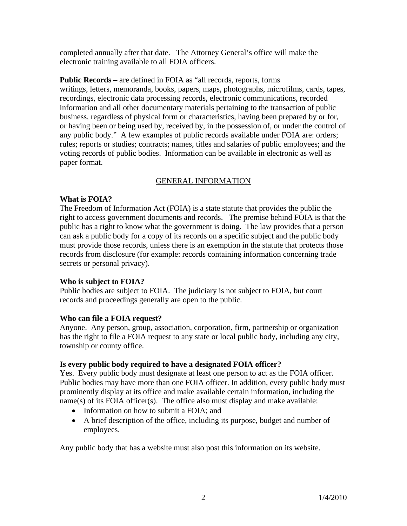completed annually after that date. The Attorney General's office will make the electronic training available to all FOIA officers.

**Public Records –** are defined in FOIA as "all records, reports, forms writings, letters, memoranda, books, papers, maps, photographs, microfilms, cards, tapes, recordings, electronic data processing records, electronic communications, recorded information and all other documentary materials pertaining to the transaction of public business, regardless of physical form or characteristics, having been prepared by or for, or having been or being used by, received by, in the possession of, or under the control of any public body." A few examples of public records available under FOIA are: orders; rules; reports or studies; contracts; names, titles and salaries of public employees; and the voting records of public bodies. Information can be available in electronic as well as paper format.

# GENERAL INFORMATION

### **What is FOIA?**

The Freedom of Information Act (FOIA) is a state statute that provides the public the right to access government documents and records. The premise behind FOIA is that the public has a right to know what the government is doing. The law provides that a person can ask a public body for a copy of its records on a specific subject and the public body must provide those records, unless there is an exemption in the statute that protects those records from disclosure (for example: records containing information concerning trade secrets or personal privacy).

# **Who is subject to FOIA?**

Public bodies are subject to FOIA. The judiciary is not subject to FOIA, but court records and proceedings generally are open to the public.

# **Who can file a FOIA request?**

Anyone. Any person, group, association, corporation, firm, partnership or organization has the right to file a FOIA request to any state or local public body, including any city, township or county office.

# **Is every public body required to have a designated FOIA officer?**

Yes. Every public body must designate at least one person to act as the FOIA officer. Public bodies may have more than one FOIA officer. In addition, every public body must prominently display at its office and make available certain information, including the name(s) of its FOIA officer(s). The office also must display and make available:

- Information on how to submit a FOIA; and
- A brief description of the office, including its purpose, budget and number of employees.

Any public body that has a website must also post this information on its website.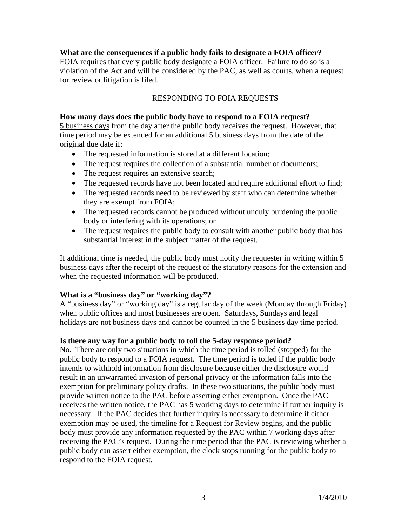### **What are the consequences if a public body fails to designate a FOIA officer?**

FOIA requires that every public body designate a FOIA officer. Failure to do so is a violation of the Act and will be considered by the PAC, as well as courts, when a request for review or litigation is filed.

## RESPONDING TO FOIA REQUESTS

#### **How many days does the public body have to respond to a FOIA request?**

5 business days from the day after the public body receives the request. However, that time period may be extended for an additional 5 business days from the date of the original due date if:

- The requested information is stored at a different location;
- The request requires the collection of a substantial number of documents;
- The request requires an extensive search;
- The requested records have not been located and require additional effort to find;
- The requested records need to be reviewed by staff who can determine whether they are exempt from FOIA;
- The requested records cannot be produced without unduly burdening the public body or interfering with its operations; or
- The request requires the public body to consult with another public body that has substantial interest in the subject matter of the request.

If additional time is needed, the public body must notify the requester in writing within 5 business days after the receipt of the request of the statutory reasons for the extension and when the requested information will be produced.

#### **What is a "business day" or "working day"?**

A "business day" or "working day" is a regular day of the week (Monday through Friday) when public offices and most businesses are open. Saturdays, Sundays and legal holidays are not business days and cannot be counted in the 5 business day time period.

#### **Is there any way for a public body to toll the 5-day response period?**

No. There are only two situations in which the time period is tolled (stopped) for the public body to respond to a FOIA request. The time period is tolled if the public body intends to withhold information from disclosure because either the disclosure would result in an unwarranted invasion of personal privacy or the information falls into the exemption for preliminary policy drafts. In these two situations, the public body must provide written notice to the PAC before asserting either exemption. Once the PAC receives the written notice, the PAC has 5 working days to determine if further inquiry is necessary. If the PAC decides that further inquiry is necessary to determine if either exemption may be used, the timeline for a Request for Review begins, and the public body must provide any information requested by the PAC within 7 working days after receiving the PAC's request. During the time period that the PAC is reviewing whether a public body can assert either exemption, the clock stops running for the public body to respond to the FOIA request.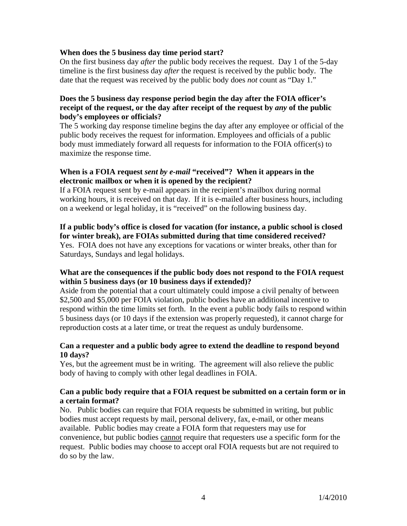### **When does the 5 business day time period start?**

On the first business day *after* the public body receives the request. Day 1 of the 5-day timeline is the first business day *after* the request is received by the public body. The date that the request was received by the public body does *not* count as "Day 1."

### **Does the 5 business day response period begin the day after the FOIA officer's receipt of the request, or the day after receipt of the request by** *any* **of the public body's employees or officials?**

The 5 working day response timeline begins the day after any employee or official of the public body receives the request for information. Employees and officials of a public body must immediately forward all requests for information to the FOIA officer(s) to maximize the response time.

## **When is a FOIA request** *sent by e-mail* **"received"? When it appears in the electronic mailbox or when it is opened by the recipient?**

If a FOIA request sent by e-mail appears in the recipient's mailbox during normal working hours, it is received on that day. If it is e-mailed after business hours, including on a weekend or legal holiday, it is "received" on the following business day.

# **If a public body's office is closed for vacation (for instance, a public school is closed for winter break), are FOIAs submitted during that time considered received?**

Yes. FOIA does not have any exceptions for vacations or winter breaks, other than for Saturdays, Sundays and legal holidays.

# **What are the consequences if the public body does not respond to the FOIA request within 5 business days (or 10 business days if extended)?**

Aside from the potential that a court ultimately could impose a civil penalty of between \$2,500 and \$5,000 per FOIA violation, public bodies have an additional incentive to respond within the time limits set forth. In the event a public body fails to respond within 5 business days (or 10 days if the extension was properly requested), it cannot charge for reproduction costs at a later time, or treat the request as unduly burdensome.

### **Can a requester and a public body agree to extend the deadline to respond beyond 10 days?**

Yes, but the agreement must be in writing. The agreement will also relieve the public body of having to comply with other legal deadlines in FOIA.

### **Can a public body require that a FOIA request be submitted on a certain form or in a certain format?**

No. Public bodies can require that FOIA requests be submitted in writing, but public bodies must accept requests by mail, personal delivery, fax, e-mail, or other means available. Public bodies may create a FOIA form that requesters may use for convenience, but public bodies cannot require that requesters use a specific form for the request. Public bodies may choose to accept oral FOIA requests but are not required to do so by the law.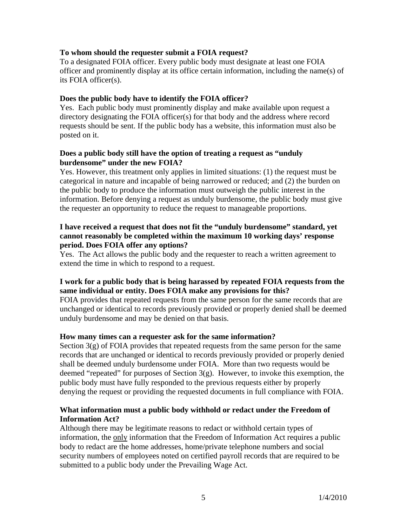### **To whom should the requester submit a FOIA request?**

To a designated FOIA officer. Every public body must designate at least one FOIA officer and prominently display at its office certain information, including the name(s) of its FOIA officer(s).

### **Does the public body have to identify the FOIA officer?**

Yes. Each public body must prominently display and make available upon request a directory designating the FOIA officer(s) for that body and the address where record requests should be sent. If the public body has a website, this information must also be posted on it.

### **Does a public body still have the option of treating a request as "unduly burdensome" under the new FOIA?**

Yes. However, this treatment only applies in limited situations: (1) the request must be categorical in nature and incapable of being narrowed or reduced; and (2) the burden on the public body to produce the information must outweigh the public interest in the information. Before denying a request as unduly burdensome, the public body must give the requester an opportunity to reduce the request to manageable proportions.

### **I have received a request that does not fit the "unduly burdensome" standard, yet cannot reasonably be completed within the maximum 10 working days' response period. Does FOIA offer any options?**

Yes. The Act allows the public body and the requester to reach a written agreement to extend the time in which to respond to a request.

### **I work for a public body that is being harassed by repeated FOIA requests from the same individual or entity. Does FOIA make any provisions for this?**

FOIA provides that repeated requests from the same person for the same records that are unchanged or identical to records previously provided or properly denied shall be deemed unduly burdensome and may be denied on that basis.

#### **How many times can a requester ask for the same information?**

Section  $3(g)$  of FOIA provides that repeated requests from the same person for the same records that are unchanged or identical to records previously provided or properly denied shall be deemed unduly burdensome under FOIA. More than two requests would be deemed "repeated" for purposes of Section  $3(g)$ . However, to invoke this exemption, the public body must have fully responded to the previous requests either by properly denying the request or providing the requested documents in full compliance with FOIA.

# **What information must a public body withhold or redact under the Freedom of Information Act?**

Although there may be legitimate reasons to redact or withhold certain types of information, the only information that the Freedom of Information Act requires a public body to redact are the home addresses, home/private telephone numbers and social security numbers of employees noted on certified payroll records that are required to be submitted to a public body under the Prevailing Wage Act.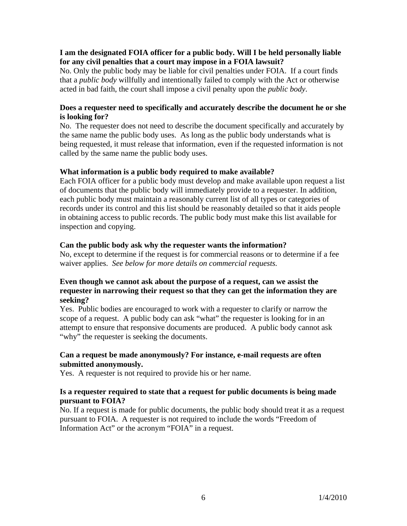### **I am the designated FOIA officer for a public body. Will I be held personally liable for any civil penalties that a court may impose in a FOIA lawsuit?**

No. Only the public body may be liable for civil penalties under FOIA. If a court finds that a *public body* willfully and intentionally failed to comply with the Act or otherwise acted in bad faith, the court shall impose a civil penalty upon the *public body*.

# **Does a requester need to specifically and accurately describe the document he or she is looking for?**

No. The requester does not need to describe the document specifically and accurately by the same name the public body uses. As long as the public body understands what is being requested, it must release that information, even if the requested information is not called by the same name the public body uses.

# **What information is a public body required to make available?**

Each FOIA officer for a public body must develop and make available upon request a list of documents that the public body will immediately provide to a requester. In addition, each public body must maintain a reasonably current list of all types or categories of records under its control and this list should be reasonably detailed so that it aids people in obtaining access to public records. The public body must make this list available for inspection and copying.

# **Can the public body ask why the requester wants the information?**

No, except to determine if the request is for commercial reasons or to determine if a fee waiver applies. *See below for more details on commercial requests.* 

# **Even though we cannot ask about the purpose of a request, can we assist the requester in narrowing their request so that they can get the information they are seeking?**

Yes. Public bodies are encouraged to work with a requester to clarify or narrow the scope of a request. A public body can ask "what" the requester is looking for in an attempt to ensure that responsive documents are produced. A public body cannot ask "why" the requester is seeking the documents.

# **Can a request be made anonymously? For instance, e-mail requests are often submitted anonymously.**

Yes. A requester is not required to provide his or her name.

# **Is a requester required to state that a request for public documents is being made pursuant to FOIA?**

No. If a request is made for public documents, the public body should treat it as a request pursuant to FOIA. A requester is not required to include the words "Freedom of Information Act" or the acronym "FOIA" in a request.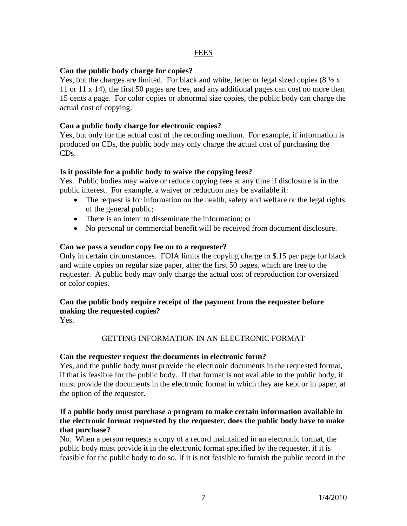### FEES

### **Can the public body charge for copies?**

Yes, but the charges are limited. For black and white, letter or legal sized copies  $(8 \frac{1}{2} x)$ 11 or 11 x 14), the first 50 pages are free, and any additional pages can cost no more than 15 cents a page. For color copies or abnormal size copies, the public body can charge the actual cost of copying.

## **Can a public body charge for electronic copies?**

Yes, but only for the actual cost of the recording medium. For example, if information is produced on CDs, the public body may only charge the actual cost of purchasing the CDs.

### **Is it possible for a public body to waive the copying fees?**

Yes. Public bodies may waive or reduce copying fees at any time if disclosure is in the public interest. For example, a waiver or reduction may be available if:

- The request is for information on the health, safety and welfare or the legal rights of the general public;
- There is an intent to disseminate the information; or
- No personal or commercial benefit will be received from document disclosure.

#### **Can we pass a vendor copy fee on to a requester?**

Only in certain circumstances. FOIA limits the copying charge to \$.15 per page for black and white copies on regular size paper, after the first 50 pages, which are free to the requester. A public body may only charge the actual cost of reproduction for oversized or color copies.

### **Can the public body require receipt of the payment from the requester before making the requested copies?**

Yes.

# GETTING INFORMATION IN AN ELECTRONIC FORMAT

#### **Can the requester request the documents in electronic form?**

Yes, and the public body must provide the electronic documents in the requested format, if that is feasible for the public body. If that format is not available to the public body, it must provide the documents in the electronic format in which they are kept or in paper, at the option of the requester.

### **If a public body must purchase a program to make certain information available in the electronic format requested by the requester, does the public body have to make that purchase?**

No. When a person requests a copy of a record maintained in an electronic format, the public body must provide it in the electronic format specified by the requester, if it is feasible for the public body to do so. If it is not feasible to furnish the public record in the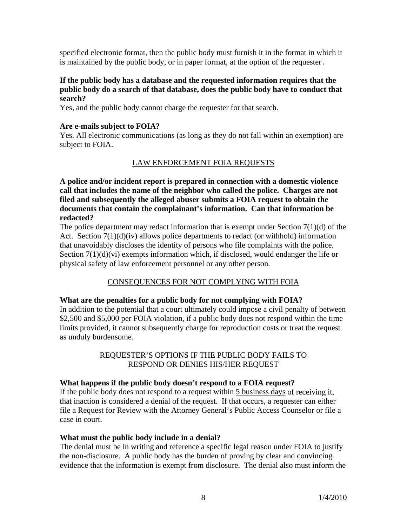specified electronic format, then the public body must furnish it in the format in which it is maintained by the public body, or in paper format, at the option of the requester.

#### **If the public body has a database and the requested information requires that the public body do a search of that database, does the public body have to conduct that search?**

Yes, and the public body cannot charge the requester for that search.

#### **Are e-mails subject to FOIA?**

Yes. All electronic communications (as long as they do not fall within an exemption) are subject to FOIA.

# LAW ENFORCEMENT FOIA REQUESTS

**A police and/or incident report is prepared in connection with a domestic violence call that includes the name of the neighbor who called the police. Charges are not filed and subsequently the alleged abuser submits a FOIA request to obtain the documents that contain the complainant's information. Can that information be redacted?** 

The police department may redact information that is exempt under Section  $7(1)(d)$  of the Act. Section 7(1)(d)(iv) allows police departments to redact (or withhold) information that unavoidably discloses the identity of persons who file complaints with the police. Section  $7(1)(d)(vi)$  exempts information which, if disclosed, would endanger the life or physical safety of law enforcement personnel or any other person.

# CONSEQUENCES FOR NOT COMPLYING WITH FOIA

#### **What are the penalties for a public body for not complying with FOIA?**

In addition to the potential that a court ultimately could impose a civil penalty of between \$2,500 and \$5,000 per FOIA violation, if a public body does not respond within the time limits provided, it cannot subsequently charge for reproduction costs or treat the request as unduly burdensome.

### REQUESTER'S OPTIONS IF THE PUBLIC BODY FAILS TO RESPOND OR DENIES HIS/HER REQUEST

#### **What happens if the public body doesn't respond to a FOIA request?**

If the public body does not respond to a request within 5 business days of receiving it, that inaction is considered a denial of the request. If that occurs, a requester can either file a Request for Review with the Attorney General's Public Access Counselor or file a case in court.

#### **What must the public body include in a denial?**

The denial must be in writing and reference a specific legal reason under FOIA to justify the non-disclosure. A public body has the burden of proving by clear and convincing evidence that the information is exempt from disclosure. The denial also must inform the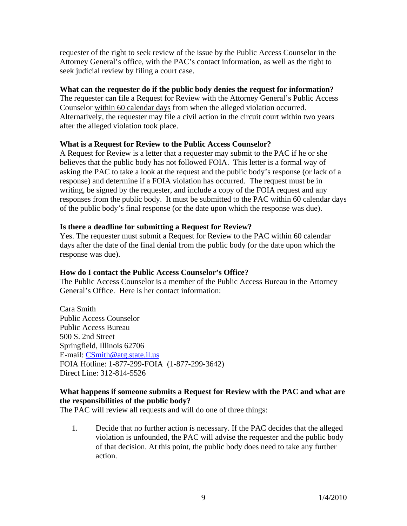requester of the right to seek review of the issue by the Public Access Counselor in the Attorney General's office, with the PAC's contact information, as well as the right to seek judicial review by filing a court case.

## **What can the requester do if the public body denies the request for information?**

The requester can file a Request for Review with the Attorney General's Public Access Counselor within 60 calendar days from when the alleged violation occurred. Alternatively, the requester may file a civil action in the circuit court within two years after the alleged violation took place.

# **What is a Request for Review to the Public Access Counselor?**

A Request for Review is a letter that a requester may submit to the PAC if he or she believes that the public body has not followed FOIA. This letter is a formal way of asking the PAC to take a look at the request and the public body's response (or lack of a response) and determine if a FOIA violation has occurred. The request must be in writing, be signed by the requester, and include a copy of the FOIA request and any responses from the public body. It must be submitted to the PAC within 60 calendar days of the public body's final response (or the date upon which the response was due).

### **Is there a deadline for submitting a Request for Review?**

Yes. The requester must submit a Request for Review to the PAC within 60 calendar days after the date of the final denial from the public body (or the date upon which the response was due).

# **How do I contact the Public Access Counselor's Office?**

The Public Access Counselor is a member of the Public Access Bureau in the Attorney General's Office. Here is her contact information:

Cara Smith Public Access Counselor Public Access Bureau 500 S. 2nd Street Springfield, Illinois 62706 E-mail: CSmith@atg.state.il.us FOIA Hotline: 1-877-299-FOIA (1-877-299-3642) Direct Line: 312-814-5526

### **What happens if someone submits a Request for Review with the PAC and what are the responsibilities of the public body?**

The PAC will review all requests and will do one of three things:

1. Decide that no further action is necessary. If the PAC decides that the alleged violation is unfounded, the PAC will advise the requester and the public body of that decision. At this point, the public body does need to take any further action.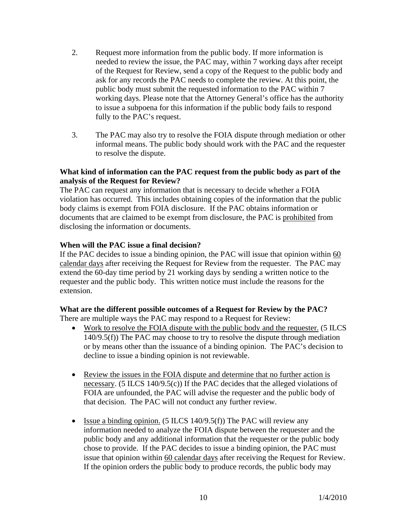- 2. Request more information from the public body. If more information is needed to review the issue, the PAC may, within 7 working days after receipt of the Request for Review, send a copy of the Request to the public body and ask for any records the PAC needs to complete the review. At this point, the public body must submit the requested information to the PAC within 7 working days. Please note that the Attorney General's office has the authority to issue a subpoena for this information if the public body fails to respond fully to the PAC's request.
- 3. The PAC may also try to resolve the FOIA dispute through mediation or other informal means. The public body should work with the PAC and the requester to resolve the dispute.

### **What kind of information can the PAC request from the public body as part of the analysis of the Request for Review?**

The PAC can request any information that is necessary to decide whether a FOIA violation has occurred. This includes obtaining copies of the information that the public body claims is exempt from FOIA disclosure. If the PAC obtains information or documents that are claimed to be exempt from disclosure, the PAC is prohibited from disclosing the information or documents.

# **When will the PAC issue a final decision?**

If the PAC decides to issue a binding opinion, the PAC will issue that opinion within 60 calendar days after receiving the Request for Review from the requester. The PAC may extend the 60-day time period by 21 working days by sending a written notice to the requester and the public body. This written notice must include the reasons for the extension.

# **What are the different possible outcomes of a Request for Review by the PAC?**

There are multiple ways the PAC may respond to a Request for Review:

- Work to resolve the FOIA dispute with the public body and the requester. (5 ILCS 140/9.5(f)) The PAC may choose to try to resolve the dispute through mediation or by means other than the issuance of a binding opinion. The PAC's decision to decline to issue a binding opinion is not reviewable.
- Review the issues in the FOIA dispute and determine that no further action is necessary. (5 ILCS 140/9.5(c)) If the PAC decides that the alleged violations of FOIA are unfounded, the PAC will advise the requester and the public body of that decision. The PAC will not conduct any further review.
- Issue a binding opinion. (5 ILCS 140/9.5(f)) The PAC will review any information needed to analyze the FOIA dispute between the requester and the public body and any additional information that the requester or the public body chose to provide. If the PAC decides to issue a binding opinion, the PAC must issue that opinion within 60 calendar days after receiving the Request for Review. If the opinion orders the public body to produce records, the public body may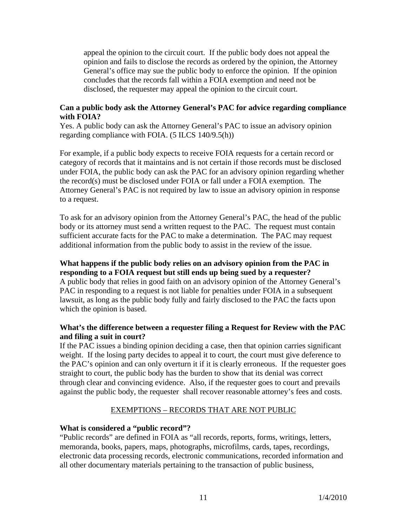appeal the opinion to the circuit court. If the public body does not appeal the opinion and fails to disclose the records as ordered by the opinion, the Attorney General's office may sue the public body to enforce the opinion. If the opinion concludes that the records fall within a FOIA exemption and need not be disclosed, the requester may appeal the opinion to the circuit court.

### **Can a public body ask the Attorney General's PAC for advice regarding compliance with FOIA?**

Yes. A public body can ask the Attorney General's PAC to issue an advisory opinion regarding compliance with FOIA. (5 ILCS 140/9.5(h))

For example, if a public body expects to receive FOIA requests for a certain record or category of records that it maintains and is not certain if those records must be disclosed under FOIA, the public body can ask the PAC for an advisory opinion regarding whether the record(s) must be disclosed under FOIA or fall under a FOIA exemption. The Attorney General's PAC is not required by law to issue an advisory opinion in response to a request.

To ask for an advisory opinion from the Attorney General's PAC, the head of the public body or its attorney must send a written request to the PAC. The request must contain sufficient accurate facts for the PAC to make a determination. The PAC may request additional information from the public body to assist in the review of the issue.

# **What happens if the public body relies on an advisory opinion from the PAC in responding to a FOIA request but still ends up being sued by a requester?**

A public body that relies in good faith on an advisory opinion of the Attorney General's PAC in responding to a request is not liable for penalties under FOIA in a subsequent lawsuit, as long as the public body fully and fairly disclosed to the PAC the facts upon which the opinion is based.

# **What's the difference between a requester filing a Request for Review with the PAC and filing a suit in court?**

If the PAC issues a binding opinion deciding a case, then that opinion carries significant weight. If the losing party decides to appeal it to court, the court must give deference to the PAC's opinion and can only overturn it if it is clearly erroneous. If the requester goes straight to court, the public body has the burden to show that its denial was correct through clear and convincing evidence. Also, if the requester goes to court and prevails against the public body, the requester shall recover reasonable attorney's fees and costs.

# EXEMPTIONS – RECORDS THAT ARE NOT PUBLIC

# **What is considered a "public record"?**

"Public records" are defined in FOIA as "all records, reports, forms, writings, letters, memoranda, books, papers, maps, photographs, microfilms, cards, tapes, recordings, electronic data processing records, electronic communications, recorded information and all other documentary materials pertaining to the transaction of public business,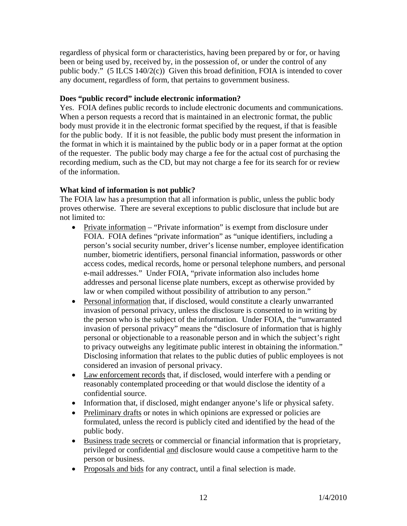regardless of physical form or characteristics, having been prepared by or for, or having been or being used by, received by, in the possession of, or under the control of any public body." (5 ILCS 140/2(c)) Given this broad definition, FOIA is intended to cover any document, regardless of form, that pertains to government business.

# **Does "public record" include electronic information?**

Yes. FOIA defines public records to include electronic documents and communications. When a person requests a record that is maintained in an electronic format, the public body must provide it in the electronic format specified by the request, if that is feasible for the public body. If it is not feasible, the public body must present the information in the format in which it is maintained by the public body or in a paper format at the option of the requester. The public body may charge a fee for the actual cost of purchasing the recording medium, such as the CD, but may not charge a fee for its search for or review of the information.

# **What kind of information is not public?**

The FOIA law has a presumption that all information is public, unless the public body proves otherwise. There are several exceptions to public disclosure that include but are not limited to:

- Private information "Private information" is exempt from disclosure under FOIA. FOIA defines "private information" as "unique identifiers, including a person's social security number, driver's license number, employee identification number, biometric identifiers, personal financial information, passwords or other access codes, medical records, home or personal telephone numbers, and personal e-mail addresses." Under FOIA, "private information also includes home addresses and personal license plate numbers, except as otherwise provided by law or when compiled without possibility of attribution to any person."
- Personal information that, if disclosed, would constitute a clearly unwarranted invasion of personal privacy, unless the disclosure is consented to in writing by the person who is the subject of the information. Under FOIA, the "unwarranted invasion of personal privacy" means the "disclosure of information that is highly personal or objectionable to a reasonable person and in which the subject's right to privacy outweighs any legitimate public interest in obtaining the information." Disclosing information that relates to the public duties of public employees is not considered an invasion of personal privacy.
- Law enforcement records that, if disclosed, would interfere with a pending or reasonably contemplated proceeding or that would disclose the identity of a confidential source.
- Information that, if disclosed, might endanger anyone's life or physical safety.
- Preliminary drafts or notes in which opinions are expressed or policies are formulated, unless the record is publicly cited and identified by the head of the public body.
- Business trade secrets or commercial or financial information that is proprietary, privileged or confidential and disclosure would cause a competitive harm to the person or business.
- Proposals and bids for any contract, until a final selection is made.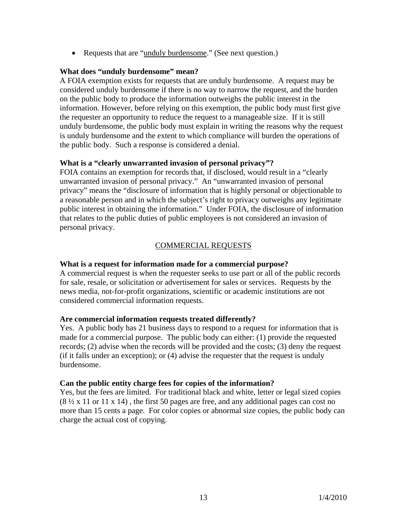• Requests that are "unduly burdensome." (See next question.)

#### **What does "unduly burdensome" mean?**

A FOIA exemption exists for requests that are unduly burdensome. A request may be considered unduly burdensome if there is no way to narrow the request, and the burden on the public body to produce the information outweighs the public interest in the information. However, before relying on this exemption, the public body must first give the requester an opportunity to reduce the request to a manageable size. If it is still unduly burdensome, the public body must explain in writing the reasons why the request is unduly burdensome and the extent to which compliance will burden the operations of the public body. Such a response is considered a denial.

### **What is a "clearly unwarranted invasion of personal privacy"?**

FOIA contains an exemption for records that, if disclosed, would result in a "clearly unwarranted invasion of personal privacy." An "unwarranted invasion of personal privacy" means the "disclosure of information that is highly personal or objectionable to a reasonable person and in which the subject's right to privacy outweighs any legitimate public interest in obtaining the information." Under FOIA, the disclosure of information that relates to the public duties of public employees is not considered an invasion of personal privacy.

# COMMERCIAL REQUESTS

#### **What is a request for information made for a commercial purpose?**

A commercial request is when the requester seeks to use part or all of the public records for sale, resale, or solicitation or advertisement for sales or services. Requests by the news media, not-for-profit organizations, scientific or academic institutions are not considered commercial information requests.

#### **Are commercial information requests treated differently?**

Yes. A public body has 21 business days to respond to a request for information that is made for a commercial purpose. The public body can either: (1) provide the requested records; (2) advise when the records will be provided and the costs; (3) deny the request (if it falls under an exception); or (4) advise the requester that the request is unduly burdensome.

#### **Can the public entity charge fees for copies of the information?**

Yes, but the fees are limited. For traditional black and white, letter or legal sized copies (8 ½ x 11 or 11 x 14) , the first 50 pages are free, and any additional pages can cost no more than 15 cents a page. For color copies or abnormal size copies, the public body can charge the actual cost of copying.